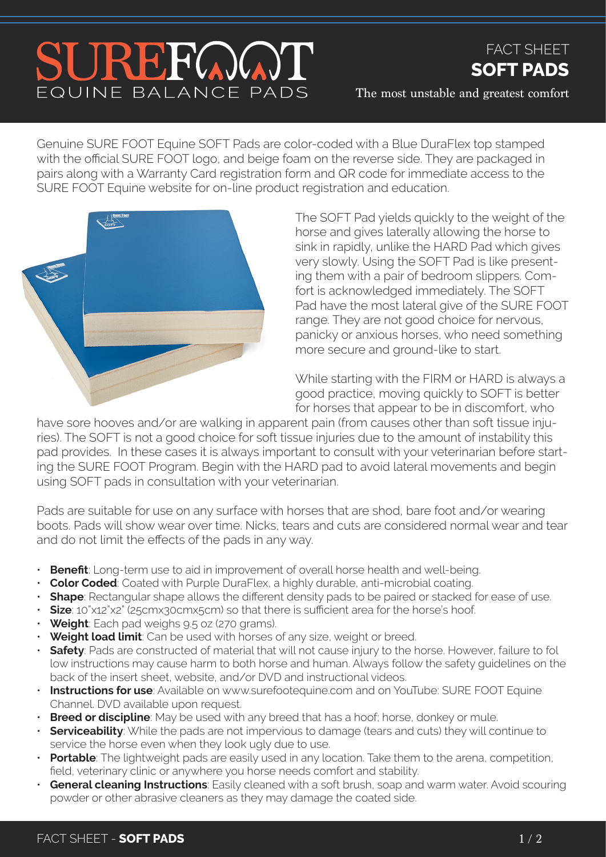## SUREFOOT EQUINE BALANCE PADS

## FACT SHEET **SOFT PADS**

The most unstable and greatest comfort

Genuine SURE FOOT Equine SOFT Pads are color-coded with a Blue DuraFlex top stamped with the official SURE FOOT logo, and beige foam on the reverse side. They are packaged in pairs along with a Warranty Card registration form and QR code for immediate access to the SURE FOOT Equine website for on-line product registration and education.



The SOFT Pad yields quickly to the weight of the horse and gives laterally allowing the horse to sink in rapidly, unlike the HARD Pad which gives very slowly. Using the SOFT Pad is like presenting them with a pair of bedroom slippers. Comfort is acknowledged immediately. The SOFT Pad have the most lateral give of the SURE FOOT range. They are not good choice for nervous, panicky or anxious horses, who need something more secure and ground-like to start.

While starting with the FIRM or HARD is always a good practice, moving quickly to SOFT is better for horses that appear to be in discomfort, who

have sore hooves and/or are walking in apparent pain (from causes other than soft tissue injuries). The SOFT is not a good choice for soft tissue injuries due to the amount of instability this pad provides. In these cases it is always important to consult with your veterinarian before starting the SURE FOOT Program. Begin with the HARD pad to avoid lateral movements and begin using SOFT pads in consultation with your veterinarian.

Pads are suitable for use on any surface with horses that are shod, bare foot and/or wearing boots. Pads will show wear over time. Nicks, tears and cuts are considered normal wear and tear and do not limit the effects of the pads in any way.

- **Benefit**: Long-term use to aid in improvement of overall horse health and well-being.
- **Color Coded**: Coated with Purple DuraFlex, a highly durable, anti-microbial coating.
- **Shape**: Rectangular shape allows the different density pads to be paired or stacked for ease of use.
- **Size**: 10"x12"x2" (25cmx30cmx5cm) so that there is sufficient area for the horse's hoof.
- **Weight**: Each pad weighs 9.5 oz (270 grams).
- **Weight load limit**: Can be used with horses of any size, weight or breed.
- **Safety**: Pads are constructed of material that will not cause injury to the horse. However, failure to fol low instructions may cause harm to both horse and human. Always follow the safety guidelines on the back of the insert sheet, website, and/or DVD and instructional videos.
- **Instructions for use**: Available on www.surefootequine.com and on YouTube: SURE FOOT Equine Channel. DVD available upon request.
- **Breed or discipline**: May be used with any breed that has a hoof; horse, donkey or mule.
- **Serviceability**: While the pads are not impervious to damage (tears and cuts) they will continue to service the horse even when they look ugly due to use.
- **Portable**: The lightweight pads are easily used in any location. Take them to the arena, competition, field, veterinary clinic or anywhere you horse needs comfort and stability.
- **General cleaning Instructions**: Easily cleaned with a soft brush, soap and warm water. Avoid scouring powder or other abrasive cleaners as they may damage the coated side.